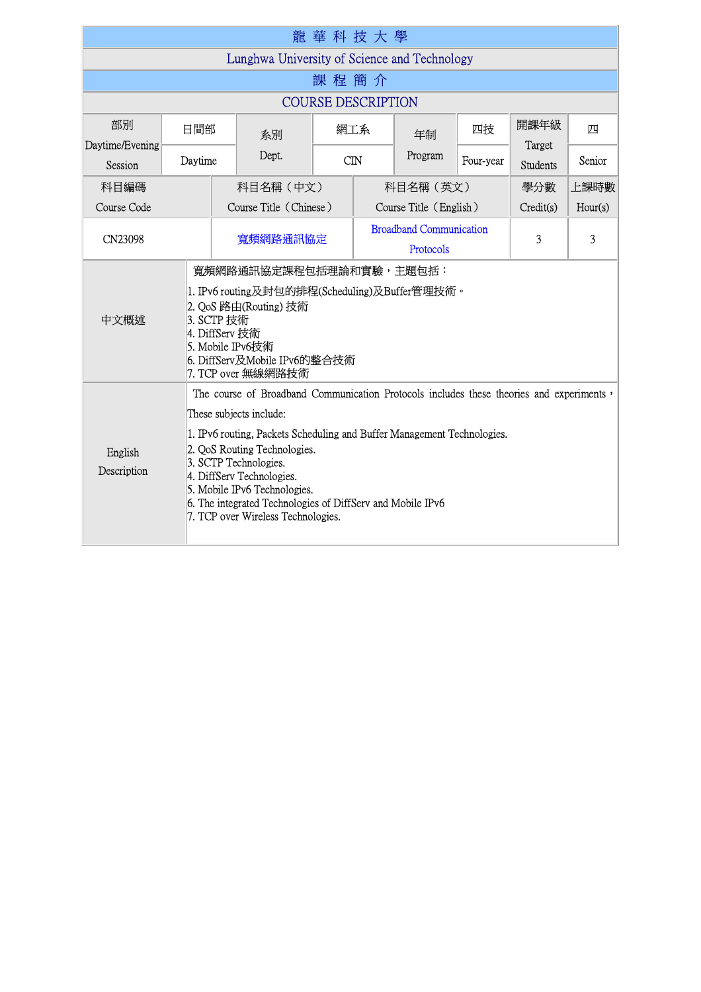|                                                                                                                                                                                                                                                                                                                                                                                                                                                     |         |                                                                                                                                                                                                            | 龍華科技大學     |                                             |         |           |                 |         |
|-----------------------------------------------------------------------------------------------------------------------------------------------------------------------------------------------------------------------------------------------------------------------------------------------------------------------------------------------------------------------------------------------------------------------------------------------------|---------|------------------------------------------------------------------------------------------------------------------------------------------------------------------------------------------------------------|------------|---------------------------------------------|---------|-----------|-----------------|---------|
| Lunghwa University of Science and Technology                                                                                                                                                                                                                                                                                                                                                                                                        |         |                                                                                                                                                                                                            |            |                                             |         |           |                 |         |
| 課 程 簡 介                                                                                                                                                                                                                                                                                                                                                                                                                                             |         |                                                                                                                                                                                                            |            |                                             |         |           |                 |         |
| <b>COURSE DESCRIPTION</b>                                                                                                                                                                                                                                                                                                                                                                                                                           |         |                                                                                                                                                                                                            |            |                                             |         |           |                 |         |
| 部別<br>Daytime/Evening                                                                                                                                                                                                                                                                                                                                                                                                                               | 日間部     | 系別                                                                                                                                                                                                         |            | 網工系                                         | 年制      | 四技        | 開課年級<br>Target  | 四       |
| Session                                                                                                                                                                                                                                                                                                                                                                                                                                             | Daytime | Dept.                                                                                                                                                                                                      | <b>CIN</b> |                                             | Program | Four-year | <b>Students</b> | Senior  |
| 科目編碼                                                                                                                                                                                                                                                                                                                                                                                                                                                |         | 科目名稱(中文)                                                                                                                                                                                                   |            | 科目名稱 (英文)                                   |         |           | 學分數             | 上課時數    |
| Course Code                                                                                                                                                                                                                                                                                                                                                                                                                                         |         | Course Title (Chinese)                                                                                                                                                                                     |            | Course Title (English)                      |         |           | Credit(s)       | Hour(s) |
| CN23098                                                                                                                                                                                                                                                                                                                                                                                                                                             |         | 寬頻網路通訊協定                                                                                                                                                                                                   |            | <b>Broadband Communication</b><br>Protocols |         | 3         | 3               |         |
| 中文概述                                                                                                                                                                                                                                                                                                                                                                                                                                                |         | 寬頻網路通訊協定課程包括理論和實驗,主題包括:<br>1. IPv6 routing及封包的排程(Scheduling)及Buffer管理技術。<br>2. QoS 路由(Routing)技術<br>3. SCTP 技術<br>4. DiffServ 技術<br>5. Mobile IPv6技術<br>6. DiffServ及Mobile IPv6的整合技術<br>7. TCP over 無線網路技術 |            |                                             |         |           |                 |         |
| The course of Broadband Communication Protocols includes these theories and experiments '<br>These subjects include:<br>1. IPv6 routing, Packets Scheduling and Buffer Management Technologies.<br>2. QoS Routing Technologies.<br>English<br>3. SCTP Technologies.<br>Description<br>4. DiffServ Technologies.<br>5. Mobile IPv6 Technologies.<br>6. The integrated Technologies of DiffServ and Mobile IPv6<br>7. TCP over Wireless Technologies. |         |                                                                                                                                                                                                            |            |                                             |         |           |                 |         |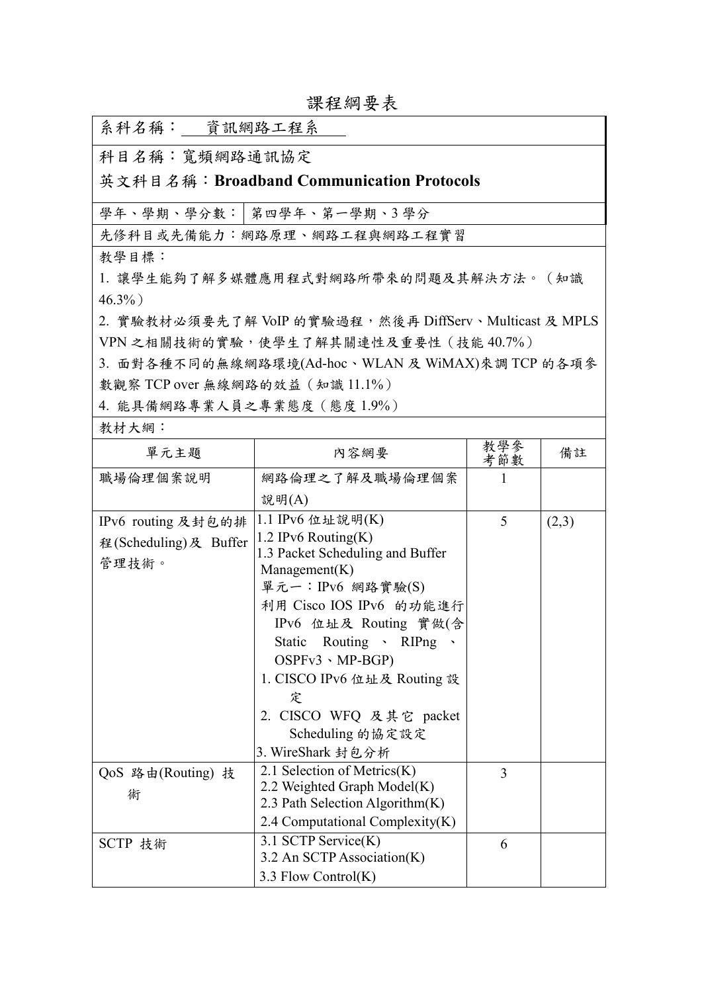| 系科名稱: 資訊網路工程系                            |                                                                |                |       |  |  |  |
|------------------------------------------|----------------------------------------------------------------|----------------|-------|--|--|--|
| 科目名稱:寬頻網路通訊協定                            |                                                                |                |       |  |  |  |
| 英文科目名稱:Broadband Communication Protocols |                                                                |                |       |  |  |  |
|                                          | 學年、學期、學分數:   第四學年、第一學期、3學分                                     |                |       |  |  |  |
|                                          | 先修科目或先備能力:網路原理、網路工程與網路工程實習                                     |                |       |  |  |  |
| 教學目標:                                    |                                                                |                |       |  |  |  |
|                                          | 1. 讓學生能夠了解多媒體應用程式對網路所帶來的問題及其解決方法。(知識                           |                |       |  |  |  |
| $46.3\%$ )                               |                                                                |                |       |  |  |  |
|                                          | 2. 實驗教材必須要先了解 VoIP 的實驗過程,然後再 DiffServ、Multicast 及 MPLS         |                |       |  |  |  |
|                                          | VPN 之相關技術的實驗,使學生了解其關連性及重要性 (技能40.7%)                           |                |       |  |  |  |
|                                          | 3. 面對各種不同的無線網路環境(Ad-hoc、WLAN及 WiMAX)來調 TCP 的各項參                |                |       |  |  |  |
| 數觀察 TCP over 無線網路的效益 (知識 11.1%)          |                                                                |                |       |  |  |  |
| 4. 能具備網路專業人員之專業態度(態度1.9%)                |                                                                |                |       |  |  |  |
| 教材大網:                                    |                                                                |                |       |  |  |  |
| 單元主題                                     | 內容網要                                                           | 教學參<br>考節數     | 備註    |  |  |  |
| 職場倫理個案說明                                 | 網路倫理之了解及職場倫理個案                                                 | 1              |       |  |  |  |
|                                          | 說明(A)                                                          |                |       |  |  |  |
| IPv6 routing 及封包的排                       | 1.1 IPv6 位址說明(K)                                               | 5              | (2,3) |  |  |  |
| 程(Scheduling)及 Buffer                    | 1.2 IPv6 Routing $(K)$                                         |                |       |  |  |  |
| 管理技術。                                    | 1.3 Packet Scheduling and Buffer                               |                |       |  |  |  |
|                                          | Managerment(K)<br>單元一: IPv6 網路實驗(S)                            |                |       |  |  |  |
|                                          | 利用 Cisco IOS IPv6 的功能進行                                        |                |       |  |  |  |
|                                          | IPv6 位址及 Routing 實做(含                                          |                |       |  |  |  |
|                                          | Static Routing > RIPng >                                       |                |       |  |  |  |
|                                          | $OSPFv3 \cdot MP-BGP)$                                         |                |       |  |  |  |
|                                          | 1. CISCO IPv6 位址及 Routing 設                                    |                |       |  |  |  |
|                                          | 定                                                              |                |       |  |  |  |
|                                          | 2. CISCO WFQ 及其它 packet                                        |                |       |  |  |  |
|                                          | Scheduling 的協定設定                                               |                |       |  |  |  |
|                                          | 3. WireShark 封包分析                                              |                |       |  |  |  |
| QoS 路由(Routing) 技                        | 2.1 Selection of Metrics(K)                                    | $\overline{3}$ |       |  |  |  |
| 術                                        | 2.2 Weighted Graph Model(K)<br>2.3 Path Selection Algorithm(K) |                |       |  |  |  |

2.4 Computational Complexity(K)

6

3.2 An SCTP Association(K)

3.3 Flow Control(K)

SCTP 技術 3.1 SCTP Service(K)

課程綱要表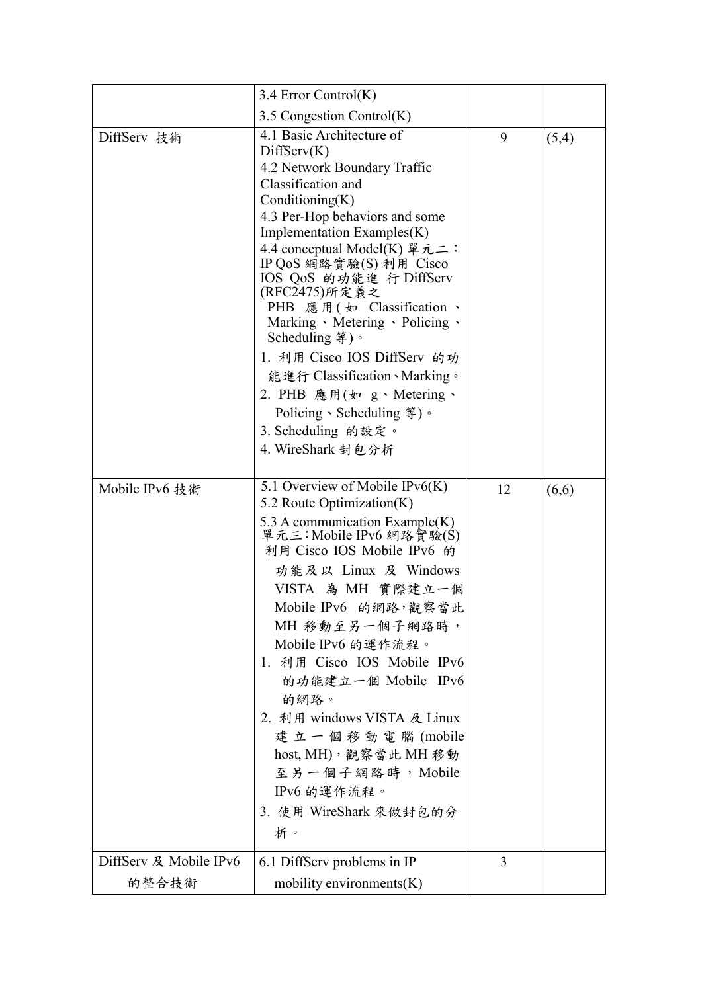|                        | 3.4 Error Control(K)                                                                                                                                                                                                                                                                                                                                                                                                                                                                                                                                           |    |       |
|------------------------|----------------------------------------------------------------------------------------------------------------------------------------------------------------------------------------------------------------------------------------------------------------------------------------------------------------------------------------------------------------------------------------------------------------------------------------------------------------------------------------------------------------------------------------------------------------|----|-------|
|                        | 3.5 Congestion Control $(K)$                                                                                                                                                                                                                                                                                                                                                                                                                                                                                                                                   |    |       |
| DiffServ 技術            | 4.1 Basic Architecture of<br>DiffServ(K)<br>4.2 Network Boundary Traffic<br>Classification and<br>Conditioning(K)<br>4.3 Per-Hop behaviors and some<br>Implementation Examples(K)<br>4.4 conceptual Model(K) 單元二:<br>IP QoS 網路實驗(S) 利用 Cisco<br>IOS QoS 的功能進 行 DiffServ<br>(RFC2475)所定義之<br>PHB 應用(如 Classification 、<br>Marking Metering Dolicing<br>Scheduling $\frac{26}{3}$ )。<br>1. 利用 Cisco IOS DiffServ 的功<br>能進行 Classification、Marking。<br>2. PHB 應用(如 g、Metering、<br>Policing、Scheduling $\frac{2}{3}$ )。<br>3. Scheduling 的設定。<br>4. WireShark 封包分析 | 9  | (5,4) |
| Mobile IPv6 技術         | 5.1 Overview of Mobile IPv $6(K)$<br>5.2 Route Optimization(K)<br>5.3 A communication Example $(K)$<br>單元三:Mobile IPv6 網路實驗(S)<br>利用 Cisco IOS Mobile IPv6 的<br>功能及以 Linux 及 Windows<br>VISTA 為 MH 實際建立一個<br>Mobile IPv6 的網路, 觀察當此<br>MH 移動至另一個子網路時,<br>Mobile IPv6 的運作流程。<br>1. 利用 Cisco IOS Mobile IPv6<br>的功能建立一個 Mobile IPv6<br>的網路。<br>2. 利用 windows VISTA 及 Linux<br>建立一個移動電腦(mobile<br>host, MH), 觀察當此 MH 移動<br>至另一個子網路時, Mobile<br>IPv6 的運作流程。<br>3. 使用 WireShark 來做封包的分<br>析。                                                                         | 12 | (6,6) |
| DiffServ 及 Mobile IPv6 | 6.1 DiffServ problems in IP                                                                                                                                                                                                                                                                                                                                                                                                                                                                                                                                    | 3  |       |
| 的整合技術                  | mobility environments $(K)$                                                                                                                                                                                                                                                                                                                                                                                                                                                                                                                                    |    |       |
|                        |                                                                                                                                                                                                                                                                                                                                                                                                                                                                                                                                                                |    |       |